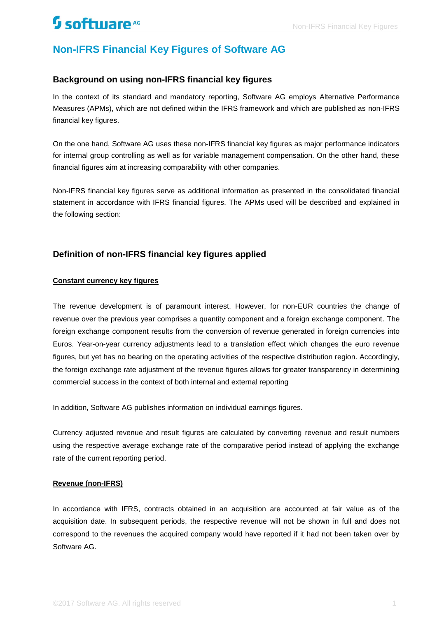# **Non-IFRS Financial Key Figures of Software AG**

### **Background on using non-IFRS financial key figures**

In the context of its standard and mandatory reporting, Software AG employs Alternative Performance Measures (APMs), which are not defined within the IFRS framework and which are published as non-IFRS financial key figures.

On the one hand, Software AG uses these non-IFRS financial key figures as major performance indicators for internal group controlling as well as for variable management compensation. On the other hand, these financial figures aim at increasing comparability with other companies.

Non-IFRS financial key figures serve as additional information as presented in the consolidated financial statement in accordance with IFRS financial figures. The APMs used will be described and explained in the following section:

### **Definition of non-IFRS financial key figures applied**

#### **Constant currency key figures**

The revenue development is of paramount interest. However, for non-EUR countries the change of revenue over the previous year comprises a quantity component and a foreign exchange component. The foreign exchange component results from the conversion of revenue generated in foreign currencies into Euros. Year-on-year currency adjustments lead to a translation effect which changes the euro revenue figures, but yet has no bearing on the operating activities of the respective distribution region. Accordingly, the foreign exchange rate adjustment of the revenue figures allows for greater transparency in determining commercial success in the context of both internal and external reporting

In addition, Software AG publishes information on individual earnings figures.

Currency adjusted revenue and result figures are calculated by converting revenue and result numbers using the respective average exchange rate of the comparative period instead of applying the exchange rate of the current reporting period.

#### **Revenue (non-IFRS)**

In accordance with IFRS, contracts obtained in an acquisition are accounted at fair value as of the acquisition date. In subsequent periods, the respective revenue will not be shown in full and does not correspond to the revenues the acquired company would have reported if it had not been taken over by Software AG.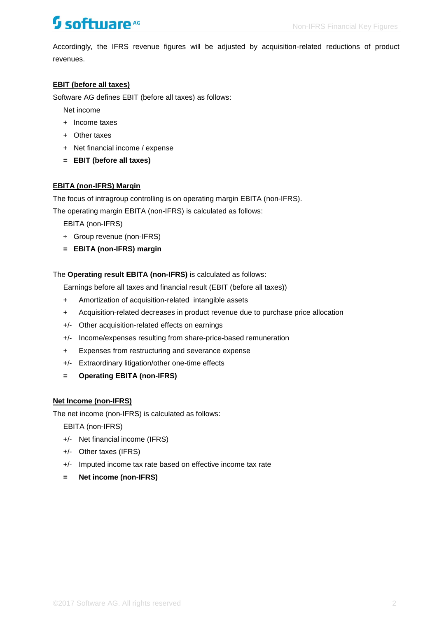# **Software<sup>AG</sup>** Mon-IFRS Financial Key Figures

Accordingly, the IFRS revenue figures will be adjusted by acquisition-related reductions of product revenues.

### **EBIT (before all taxes)**

Software AG defines EBIT (before all taxes) as follows:

Net income

- + Income taxes
- + Other taxes
- + Net financial income / expense
- **= EBIT (before all taxes)**

#### **EBITA (non-IFRS) Margin**

The focus of intragroup controlling is on operating margin EBITA (non-IFRS).

The operating margin EBITA (non-IFRS) is calculated as follows:

EBITA (non-IFRS)

- ÷ Group revenue (non-IFRS)
- **= EBITA (non-IFRS) margin**

The **Operating result EBITA (non-IFRS)** is calculated as follows:

Earnings before all taxes and financial result (EBIT (before all taxes))

- + Amortization of acquisition-related intangible assets
- + Acquisition-related decreases in product revenue due to purchase price allocation
- +/- Other acquisition-related effects on earnings
- +/- Income/expenses resulting from share-price-based remuneration
- + Expenses from restructuring and severance expense
- +/- Extraordinary litigation/other one-time effects
- **= Operating EBITA (non-IFRS)**

#### **Net Income (non-IFRS)**

The net income (non-IFRS) is calculated as follows:

EBITA (non-IFRS)

- +/- Net financial income (IFRS)
- +/- Other taxes (IFRS)
- +/- Imputed income tax rate based on effective income tax rate
- **= Net income (non-IFRS)**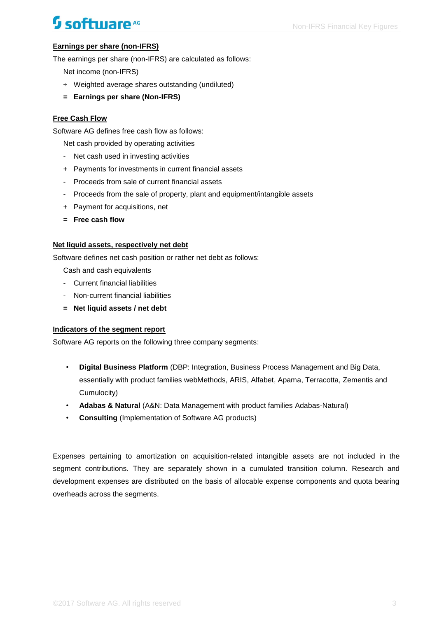# **Software<sup>AG</sup>** Mon-IFRS Financial Key Figures

## **Earnings per share (non-IFRS)**

The earnings per share (non-IFRS) are calculated as follows:

Net income (non-IFRS)

- ÷ Weighted average shares outstanding (undiluted)
- **= Earnings per share (Non-IFRS)**

#### **Free Cash Flow**

Software AG defines free cash flow as follows:

Net cash provided by operating activities

- Net cash used in investing activities
- + Payments for investments in current financial assets
- Proceeds from sale of current financial assets
- Proceeds from the sale of property, plant and equipment/intangible assets
- + Payment for acquisitions, net
- **= Free cash flow**

#### **Net liquid assets, respectively net debt**

Software defines net cash position or rather net debt as follows:

Cash and cash equivalents

- Current financial liabilities
- Non-current financial liabilities
- **= Net liquid assets / net debt**

#### **Indicators of the segment report**

Software AG reports on the following three company segments:

- **Digital Business Platform** (DBP: Integration, Business Process Management and Big Data, essentially with product families webMethods, ARIS, Alfabet, Apama, Terracotta, Zementis and Cumulocity)
- **Adabas & Natural** (A&N: Data Management with product families Adabas-Natural)
- **Consulting** (Implementation of Software AG products)

Expenses pertaining to amortization on acquisition-related intangible assets are not included in the segment contributions. They are separately shown in a cumulated transition column. Research and development expenses are distributed on the basis of allocable expense components and quota bearing overheads across the segments.